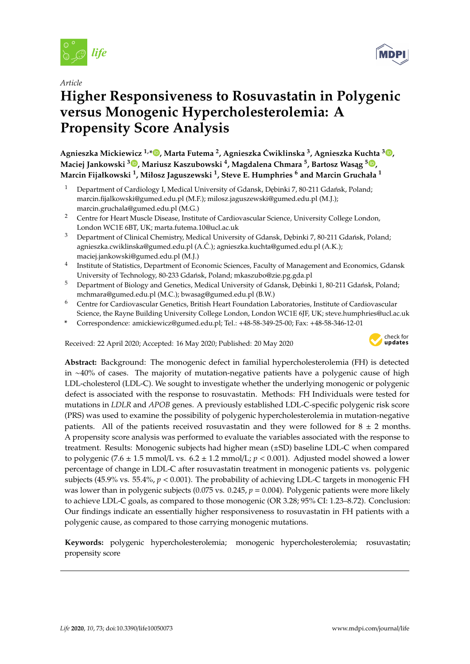

*Article*

# **Higher Responsiveness to Rosuvastatin in Polygenic versus Monogenic Hypercholesterolemia: A Propensity Score Analysis**

**Agnieszka Mickiewicz 1,[\\*](https://orcid.org/0000-0003-1707-3807) , Marta Futema <sup>2</sup> , Agnieszka Cwiklinska ´ <sup>3</sup> , Agnieszka Kuchta <sup>3</sup> [,](https://orcid.org/0000-0003-2264-1442) Maciej Jankowski <sup>3</sup> [,](https://orcid.org/0000-0003-4540-6955) Mariusz Kaszubowski <sup>4</sup> , Magdalena Chmara <sup>5</sup> , Bartosz Was ˛ag <sup>5</sup> [,](https://orcid.org/0000-0002-3634-7562) Marcin Fijałkowski <sup>1</sup> , Miłosz Jaguszewski <sup>1</sup> , Steve E. Humphries <sup>6</sup> and Marcin Gruchała <sup>1</sup>**

- Department of Cardiology I, Medical University of Gdansk, Debinki 7, 80-211 Gdańsk, Poland; marcin.fijalkowski@gumed.edu.pl (M.F.); milosz.jaguszewski@gumed.edu.pl (M.J.); marcin.gruchala@gumed.edu.pl (M.G.)
- <sup>2</sup> Centre for Heart Muscle Disease, Institute of Cardiovascular Science, University College London, London WC1E 6BT, UK; marta.futema.10@ucl.ac.uk
- <sup>3</sup> Department of Clinical Chemistry, Medical University of Gdansk, Debinki 7, 80-211 Gdańsk, Poland; agnieszka.cwiklinska@gumed.edu.pl (A.C.); agnieszka.kuchta@gumed.edu.pl (A.K.); ´ maciej.jankowski@gumed.edu.pl (M.J.)
- 4 Institute of Statistics, Department of Economic Sciences, Faculty of Management and Economics, Gdansk University of Technology, 80-233 Gdańsk, Poland; mkaszubo@zie.pg.gda.pl
- <sup>5</sup> Department of Biology and Genetics, Medical University of Gdansk, Dębinki 1, 80-211 Gdańsk, Poland; mchmara@gumed.edu.pl (M.C.); bwasag@gumed.edu.pl (B.W.)
- <sup>6</sup> Centre for Cardiovascular Genetics, British Heart Foundation Laboratories, Institute of Cardiovascular Science, the Rayne Building University College London, London WC1E 6JF, UK; steve.humphries@ucl.ac.uk
- **\*** Correspondence: amickiewicz@gumed.edu.pl; Tel.: +48-58-349-25-00; Fax: +48-58-346-12-01

Received: 22 April 2020; Accepted: 16 May 2020; Published: 20 May 2020



**Abstract:** Background: The monogenic defect in familial hypercholesterolemia (FH) is detected in ∼40% of cases. The majority of mutation-negative patients have a polygenic cause of high LDL-cholesterol (LDL-C). We sought to investigate whether the underlying monogenic or polygenic defect is associated with the response to rosuvastatin. Methods: FH Individuals were tested for mutations in *LDLR* and *APOB* genes. A previously established LDL-C-specific polygenic risk score (PRS) was used to examine the possibility of polygenic hypercholesterolemia in mutation-negative patients. All of the patients received rosuvastatin and they were followed for  $8 \pm 2$  months. A propensity score analysis was performed to evaluate the variables associated with the response to treatment. Results: Monogenic subjects had higher mean (±SD) baseline LDL-C when compared to polygenic (7.6  $\pm$  1.5 mmol/L vs. 6.2  $\pm$  1.2 mmol/L;  $p$  < 0.001). Adjusted model showed a lower percentage of change in LDL-C after rosuvastatin treatment in monogenic patients vs. polygenic subjects (45.9% vs. 55.4%, *p* < 0.001). The probability of achieving LDL-C targets in monogenic FH was lower than in polygenic subjects (0.075 vs. 0.245,  $p = 0.004$ ). Polygenic patients were more likely to achieve LDL-C goals, as compared to those monogenic (OR 3.28; 95% CI: 1.23–8.72). Conclusion: Our findings indicate an essentially higher responsiveness to rosuvastatin in FH patients with a polygenic cause, as compared to those carrying monogenic mutations.

**Keywords:** polygenic hypercholesterolemia; monogenic hypercholesterolemia; rosuvastatin; propensity score

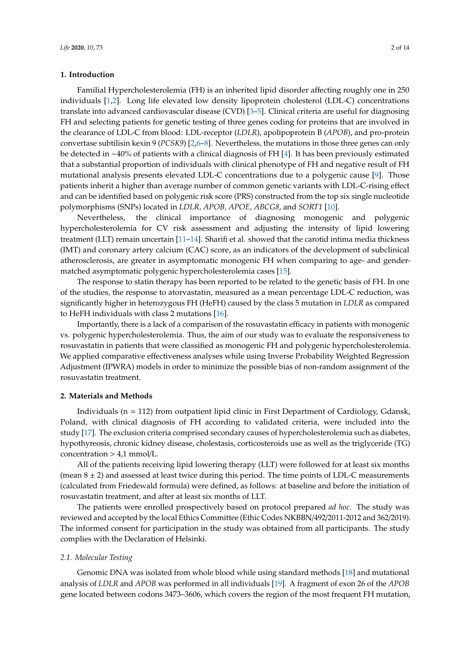#### **1. Introduction**

Familial Hypercholesterolemia (FH) is an inherited lipid disorder affecting roughly one in 250 individuals [\[1,](#page-11-0)[2\]](#page-11-1). Long life elevated low density lipoprotein cholesterol (LDL-C) concentrations translate into advanced cardiovascular disease (CVD) [\[3](#page-11-2)[–5\]](#page-11-3). Clinical criteria are useful for diagnosing FH and selecting patients for genetic testing of three genes coding for proteins that are involved in the clearance of LDL-C from blood: LDL-receptor (*LDLR*), apolipoprotein B (*APOB*), and pro-protein convertase subtilisin kexin 9 (*PCSK9*) [\[2](#page-11-1)[,6–](#page-11-4)[8\]](#page-11-5). Nevertheless, the mutations in those three genes can only be detected in ∼40% of patients with a clinical diagnosis of FH [\[4\]](#page-11-6). It has been previously estimated that a substantial proportion of individuals with clinical phenotype of FH and negative result of FH mutational analysis presents elevated LDL-C concentrations due to a polygenic cause [\[9\]](#page-11-7). Those patients inherit a higher than average number of common genetic variants with LDL-C-rising effect and can be identified based on polygenic risk score (PRS) constructed from the top six single nucleotide polymorphisms (SNPs) located in *LDLR, APOB, APOE, ABCG8*, and *SORT1* [\[10\]](#page-11-8).

Nevertheless, the clinical importance of diagnosing monogenic and polygenic hypercholesterolemia for CV risk assessment and adjusting the intensity of lipid lowering treatment (LLT) remain uncertain [\[11](#page-11-9)[–14\]](#page-11-10). Sharifi et al. showed that the carotid intima media thickness (IMT) and coronary artery calcium (CAC) score, as an indicators of the development of subclinical atherosclerosis, are greater in asymptomatic monogenic FH when comparing to age- and gendermatched asymptomatic polygenic hypercholesterolemia cases [\[15\]](#page-11-11).

The response to statin therapy has been reported to be related to the genetic basis of FH. In one of the studies, the response to atorvastatin, measured as a mean percentage LDL-C reduction, was significantly higher in heterozygous FH (HeFH) caused by the class 5 mutation in *LDLR* as compared to HeFH individuals with class 2 mutations [\[16\]](#page-11-12).

Importantly, there is a lack of a comparison of the rosuvastatin efficacy in patients with monogenic vs. polygenic hypercholesterolemia. Thus, the aim of our study was to evaluate the responsiveness to rosuvastatin in patients that were classified as monogenic FH and polygenic hypercholesterolemia. We applied comparative effectiveness analyses while using Inverse Probability Weighted Regression Adjustment (IPWRA) models in order to minimize the possible bias of non-random assignment of the rosuvastatin treatment.

#### **2. Materials and Methods**

Individuals ( $n = 112$ ) from outpatient lipid clinic in First Department of Cardiology, Gdansk, Poland, with clinical diagnosis of FH according to validated criteria, were included into the study [\[17\]](#page-12-0). The exclusion criteria comprised secondary causes of hypercholesterolemia such as diabetes, hypothyreosis, chronic kidney disease, cholestasis, corticosteroids use as well as the triglyceride (TG) concentration  $> 4.1$  mmol/L.

All of the patients receiving lipid lowering therapy (LLT) were followed for at least six months (mean  $8 \pm 2$ ) and assessed at least twice during this period. The time points of LDL-C measurements (calculated from Friedewald formula) were defined, as follows: at baseline and before the initiation of rosuvastatin treatment, and after at least six months of LLT.

The patients were enrolled prospectively based on protocol prepared *ad hoc*. The study was reviewed and accepted by the local Ethics Committee (Ethic Codes NKBBN/492/2011-2012 and 362/2019). The informed consent for participation in the study was obtained from all participants. The study complies with the Declaration of Helsinki.

#### *2.1. Molecular Testing*

Genomic DNA was isolated from whole blood while using standard methods [\[18\]](#page-12-1) and mutational analysis of *LDLR* and *APOB* was performed in all individuals [\[19\]](#page-12-2). A fragment of exon 26 of the *APOB* gene located between codons 3473–3606, which covers the region of the most frequent FH mutation,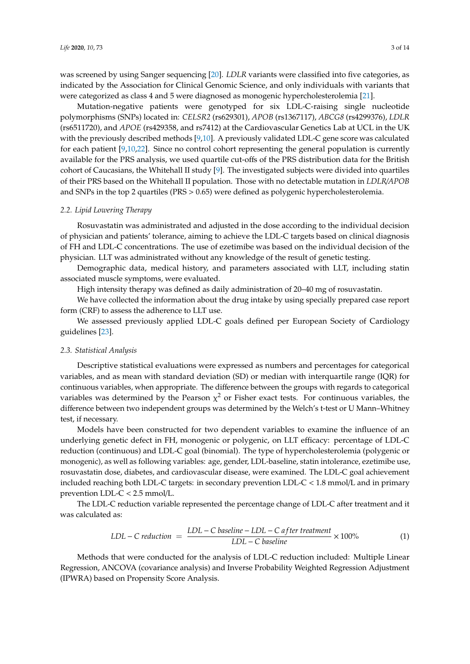was screened by using Sanger sequencing [\[20\]](#page-12-3). *LDLR* variants were classified into five categories, as indicated by the Association for Clinical Genomic Science, and only individuals with variants that were categorized as class 4 and 5 were diagnosed as monogenic hypercholesterolemia [\[21\]](#page-12-4).

Mutation-negative patients were genotyped for six LDL-C-raising single nucleotide polymorphisms (SNPs) located in: *CELSR2* (rs629301), *APOB* (rs1367117), *ABCG8* (rs4299376), *LDLR* (rs6511720), and *APOE* (rs429358, and rs7412) at the Cardiovascular Genetics Lab at UCL in the UK with the previously described methods [\[9,](#page-11-7)[10\]](#page-11-8). A previously validated LDL-C gene score was calculated for each patient [\[9](#page-11-7)[,10](#page-11-8)[,22\]](#page-12-5). Since no control cohort representing the general population is currently available for the PRS analysis, we used quartile cut-offs of the PRS distribution data for the British cohort of Caucasians, the Whitehall II study [\[9\]](#page-11-7). The investigated subjects were divided into quartiles of their PRS based on the Whitehall II population. Those with no detectable mutation in *LDLR*/*APOB* and SNPs in the top 2 quartiles (PRS > 0.65) were defined as polygenic hypercholesterolemia.

#### *2.2. Lipid Lowering Therapy*

Rosuvastatin was administrated and adjusted in the dose according to the individual decision of physician and patients' tolerance, aiming to achieve the LDL-C targets based on clinical diagnosis of FH and LDL-C concentrations. The use of ezetimibe was based on the individual decision of the physician. LLT was administrated without any knowledge of the result of genetic testing.

Demographic data, medical history, and parameters associated with LLT, including statin associated muscle symptoms, were evaluated.

High intensity therapy was defined as daily administration of 20–40 mg of rosuvastatin.

We have collected the information about the drug intake by using specially prepared case report form (CRF) to assess the adherence to LLT use.

We assessed previously applied LDL-C goals defined per European Society of Cardiology guidelines [\[23\]](#page-12-6).

#### *2.3. Statistical Analysis*

Descriptive statistical evaluations were expressed as numbers and percentages for categorical variables, and as mean with standard deviation (SD) or median with interquartile range (IQR) for continuous variables, when appropriate. The difference between the groups with regards to categorical variables was determined by the Pearson  $\chi^2$  or Fisher exact tests. For continuous variables, the difference between two independent groups was determined by the Welch's t-test or U Mann–Whitney test, if necessary.

Models have been constructed for two dependent variables to examine the influence of an underlying genetic defect in FH, monogenic or polygenic, on LLT efficacy: percentage of LDL-C reduction (continuous) and LDL-C goal (binomial). The type of hypercholesterolemia (polygenic or monogenic), as well as following variables: age, gender, LDL-baseline, statin intolerance, ezetimibe use, rosuvastatin dose, diabetes, and cardiovascular disease, were examined. The LDL-C goal achievement included reaching both LDL-C targets: in secondary prevention LDL-C < 1.8 mmol/L and in primary prevention LDL-C < 2.5 mmol/L.

The LDL-C reduction variable represented the percentage change of LDL-C after treatment and it was calculated as:

$$
LDL - C \, reduction = \frac{LDL - C \, baseline - LDL - C \, after \, treatment}{LDL - C \, baseline} \times 100\% \tag{1}
$$

Methods that were conducted for the analysis of LDL-C reduction included: Multiple Linear Regression, ANCOVA (covariance analysis) and Inverse Probability Weighted Regression Adjustment (IPWRA) based on Propensity Score Analysis.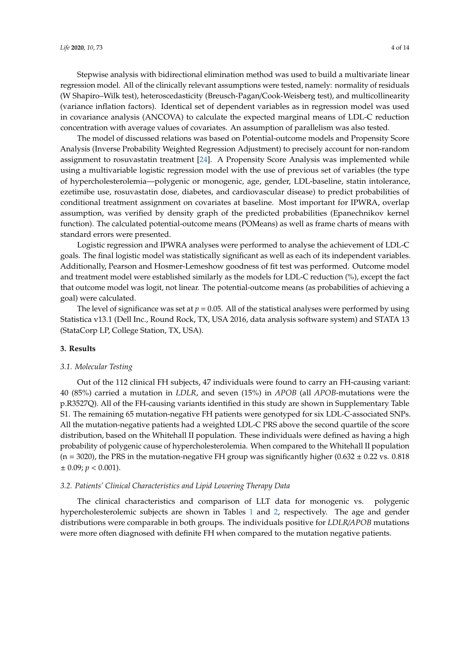Stepwise analysis with bidirectional elimination method was used to build a multivariate linear regression model. All of the clinically relevant assumptions were tested, namely: normality of residuals (W Shapiro–Wilk test), heteroscedasticity (Breusch-Pagan/Cook-Weisberg test), and multicollinearity (variance inflation factors). Identical set of dependent variables as in regression model was used in covariance analysis (ANCOVA) to calculate the expected marginal means of LDL-C reduction concentration with average values of covariates. An assumption of parallelism was also tested.

The model of discussed relations was based on Potential-outcome models and Propensity Score Analysis (Inverse Probability Weighted Regression Adjustment) to precisely account for non-random assignment to rosuvastatin treatment [\[24\]](#page-12-7). A Propensity Score Analysis was implemented while using a multivariable logistic regression model with the use of previous set of variables (the type of hypercholesterolemia—polygenic or monogenic, age, gender, LDL-baseline, statin intolerance, ezetimibe use, rosuvastatin dose, diabetes, and cardiovascular disease) to predict probabilities of conditional treatment assignment on covariates at baseline. Most important for IPWRA, overlap assumption, was verified by density graph of the predicted probabilities (Epanechnikov kernel function). The calculated potential-outcome means (POMeans) as well as frame charts of means with standard errors were presented.

Logistic regression and IPWRA analyses were performed to analyse the achievement of LDL-C goals. The final logistic model was statistically significant as well as each of its independent variables. Additionally, Pearson and Hosmer-Lemeshow goodness of fit test was performed. Outcome model and treatment model were established similarly as the models for LDL-C reduction (%), except the fact that outcome model was logit, not linear. The potential-outcome means (as probabilities of achieving a goal) were calculated.

The level of significance was set at  $p = 0.05$ . All of the statistical analyses were performed by using Statistica v13.1 (Dell Inc., Round Rock, TX, USA 2016, data analysis software system) and STATA 13 (StataCorp LP, College Station, TX, USA).

#### **3. Results**

#### *3.1. Molecular Testing*

Out of the 112 clinical FH subjects, 47 individuals were found to carry an FH-causing variant: 40 (85%) carried a mutation in *LDLR*, and seven (15%) in *APOB* (all *APOB*-mutations were the p.R3527Q). All of the FH-causing variants identified in this study are shown in Supplementary Table S1. The remaining 65 mutation-negative FH patients were genotyped for six LDL-C-associated SNPs. All the mutation-negative patients had a weighted LDL-C PRS above the second quartile of the score distribution, based on the Whitehall II population. These individuals were defined as having a high probability of polygenic cause of hypercholesterolemia. When compared to the Whitehall II population  $(n = 3020)$ , the PRS in the mutation-negative FH group was significantly higher  $(0.632 \pm 0.22 \text{ vs. } 0.818)$  $\pm$  0.09;  $p < 0.001$ ).

#### *3.2. Patients' Clinical Characteristics and Lipid Lowering Therapy Data*

The clinical characteristics and comparison of LLT data for monogenic vs. polygenic hypercholesterolemic subjects are shown in Tables [1](#page-4-0) and [2,](#page-5-0) respectively. The age and gender distributions were comparable in both groups. The individuals positive for *LDLR*/*APOB* mutations were more often diagnosed with definite FH when compared to the mutation negative patients.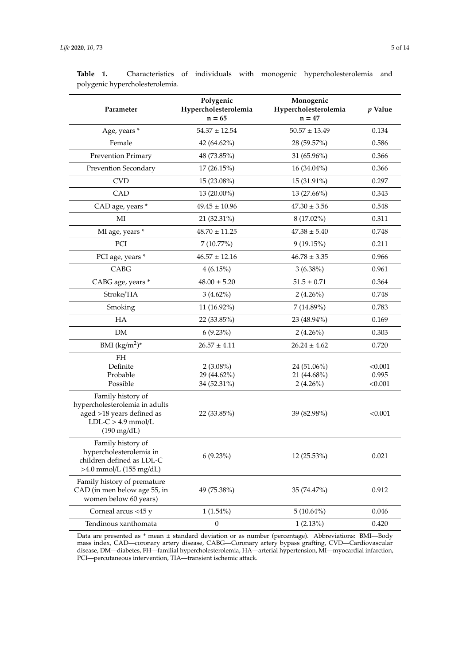| Parameter                                                                                                                         | Polygenic<br>Hypercholesterolemia<br>$n = 65$ | Monogenic<br>Hypercholesterolemia<br>$n = 47$ | $p$ Value                   |
|-----------------------------------------------------------------------------------------------------------------------------------|-----------------------------------------------|-----------------------------------------------|-----------------------------|
| Age, years *                                                                                                                      | $54.37 \pm 12.54$                             | $50.57 \pm 13.49$                             | 0.134                       |
| Female                                                                                                                            | 42 (64.62%)                                   | 28 (59.57%)                                   | 0.586                       |
| Prevention Primary                                                                                                                | 48 (73.85%)                                   | $31(65.96\%)$                                 | 0.366                       |
| Prevention Secondary                                                                                                              | 17(26.15%)                                    | $16(34.04\%)$                                 | 0.366                       |
| <b>CVD</b>                                                                                                                        | $15(23.08\%)$                                 | $15(31.91\%)$                                 | 0.297                       |
| CAD                                                                                                                               | $13(20.00\%)$                                 | $13(27.66\%)$                                 | 0.343                       |
| CAD age, years *                                                                                                                  | $49.45 \pm 10.96$                             | $47.30 \pm 3.56$                              | 0.548                       |
| MI                                                                                                                                | 21 (32.31%)                                   | $8(17.02\%)$                                  | 0.311                       |
| MI age, years *                                                                                                                   | $48.70 \pm 11.25$                             | $47.38 \pm 5.40$                              | 0.748                       |
| PCI                                                                                                                               | 7 (10.77%)                                    | 9(19.15%)                                     | 0.211                       |
| PCI age, years *                                                                                                                  | $46.57 \pm 12.16$                             | $46.78 \pm 3.35$                              | 0.966                       |
| CABG                                                                                                                              | $4(6.15\%)$                                   | $3(6.38\%)$                                   | 0.961                       |
| CABG age, years *                                                                                                                 | $48.00 \pm 5.20$                              | $51.5 \pm 0.71$                               | 0.364                       |
| Stroke/TIA                                                                                                                        | $3(4.62\%)$                                   | $2(4.26\%)$                                   | 0.748                       |
| Smoking                                                                                                                           | $11(16.92\%)$                                 | 7 (14.89%)                                    | 0.783                       |
| HA                                                                                                                                | 22 (33.85%)                                   | 23 (48.94%)                                   | 0.169                       |
| DM                                                                                                                                | $6(9.23\%)$                                   | $2(4.26\%)$                                   | 0.303                       |
| BMI $(kg/m^2)^*$                                                                                                                  | $26.57 \pm 4.11$                              | $26.24 \pm 4.62$                              | 0.720                       |
| FH<br>Definite<br>Probable<br>Possible                                                                                            | $2(3.08\%)$<br>29 (44.62%)<br>34 (52.31%)     | 24 (51.06%)<br>21 (44.68%)<br>$2(4.26\%)$     | < 0.001<br>0.995<br>< 0.001 |
| Family history of<br>hypercholesterolemia in adults<br>aged >18 years defined as<br>$LDL-C > 4.9$ mmol/L<br>$(190 \text{ mg/dL})$ | 22 (33.85%)                                   | 39 (82.98%)                                   | < 0.001                     |
| Family history of<br>hypercholesterolemia in<br>children defined as LDL-C<br>$>4.0$ mmol/L (155 mg/dL)                            | $6(9.23\%)$                                   | $12(25.53\%)$                                 | 0.021                       |
| Family history of premature<br>CAD (in men below age 55, in<br>women below 60 years)                                              | 49 (75.38%)                                   | 35 (74.47%)                                   | 0.912                       |
| Corneal arcus <45 y                                                                                                               | $1(1.54\%)$                                   | $5(10.64\%)$                                  | 0.046                       |
| Tendinous xanthomata                                                                                                              | $\boldsymbol{0}$                              | $1(2.13\%)$                                   | 0.420                       |

<span id="page-4-0"></span>**Table 1.** Characteristics of individuals with monogenic hypercholesterolemia and polygenic hypercholesterolemia.

Data are presented as \* mean ± standard deviation or as number (percentage). Abbreviations: BMI—Body mass index, CAD—coronary artery disease, CABG—Coronary artery bypass grafting, CVD—Cardiovascular disease, DM—diabetes, FH—familial hypercholesterolemia, HA—arterial hypertension, MI—myocardial infarction, PCI—percutaneous intervention, TIA—transient ischemic attack.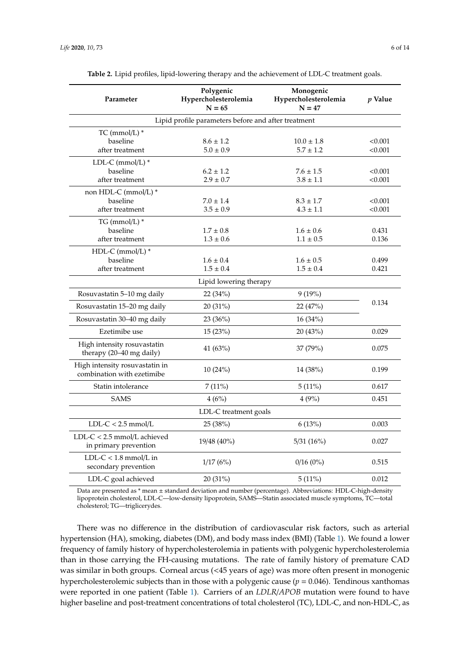<span id="page-5-0"></span>

| Parameter                                                    | Polygenic<br>Hypercholesterolemia<br>$N = 65$ | Monogenic<br>Hypercholesterolemia<br>$N = 47$ | <i>p</i> Value |  |  |  |  |
|--------------------------------------------------------------|-----------------------------------------------|-----------------------------------------------|----------------|--|--|--|--|
| Lipid profile parameters before and after treatment          |                                               |                                               |                |  |  |  |  |
| TC (mmol/L) *                                                |                                               |                                               |                |  |  |  |  |
| baseline                                                     | $8.6 \pm 1.2$                                 | $10.0 \pm 1.8$                                | < 0.001        |  |  |  |  |
| after treatment                                              | $5.0 \pm 0.9$                                 | $5.7 \pm 1.2$                                 | < 0.001        |  |  |  |  |
| LDL-C (mmol/L) *                                             |                                               |                                               |                |  |  |  |  |
| baseline                                                     | $6.2 \pm 1.2$                                 | $7.6\pm1.5$                                   | < 0.001        |  |  |  |  |
| after treatment                                              | $2.9 \pm 0.7$                                 | $3.8 \pm 1.1$                                 | < 0.001        |  |  |  |  |
| non HDL-C (mmol/L) *                                         |                                               |                                               |                |  |  |  |  |
| baseline                                                     | $7.0 \pm 1.4$                                 | $8.3 \pm 1.7$                                 | < 0.001        |  |  |  |  |
| after treatment                                              | $3.5 \pm 0.9$                                 | $4.3 \pm 1.1$                                 | < 0.001        |  |  |  |  |
| TG (mmol/L) *                                                |                                               |                                               |                |  |  |  |  |
| baseline                                                     | $1.7 \pm 0.8$                                 | $1.6 \pm 0.6$                                 | 0.431          |  |  |  |  |
| after treatment                                              | $1.3 \pm 0.6$                                 | $1.1 \pm 0.5$                                 | 0.136          |  |  |  |  |
| HDL-C (mmol/L) *                                             |                                               |                                               |                |  |  |  |  |
| baseline                                                     | $1.6 \pm 0.4$                                 | $1.6 \pm 0.5$                                 | 0.499          |  |  |  |  |
| after treatment                                              | $1.5 \pm 0.4$                                 | $1.5 \pm 0.4$                                 | 0.421          |  |  |  |  |
|                                                              | Lipid lowering therapy                        |                                               |                |  |  |  |  |
| Rosuvastatin 5-10 mg daily                                   | 22 (34%)                                      | 9(19%)                                        |                |  |  |  |  |
| Rosuvastatin 15-20 mg daily                                  | 20 (31%)                                      | 22 (47%)                                      | 0.134          |  |  |  |  |
| Rosuvastatin 30-40 mg daily                                  | 23(36%)                                       | 16(34%)                                       |                |  |  |  |  |
| Ezetimibe use                                                | 15 (23%)                                      | 20 (43%)                                      | 0.029          |  |  |  |  |
| High intensity rosuvastatin<br>therapy (20-40 mg daily)      | 41 (63%)                                      | 37(79%)                                       | 0.075          |  |  |  |  |
| High intensity rosuvastatin in<br>combination with ezetimibe | 10(24%)                                       | 14 (38%)                                      | 0.199          |  |  |  |  |
| Statin intolerance                                           | 7(11%)                                        | 5(11%)                                        | 0.617          |  |  |  |  |
| <b>SAMS</b>                                                  | 4(6%)                                         | 4(9%)                                         | 0.451          |  |  |  |  |
|                                                              | LDL-C treatment goals                         |                                               |                |  |  |  |  |
| $LDL-C < 2.5$ mmol/L                                         | 25 (38%)                                      | 6(13%)                                        | 0.003          |  |  |  |  |
| $LDL-C < 2.5$ mmol/L achieved<br>in primary prevention       | 19/48 (40%)                                   | 5/31(16%)                                     | 0.027          |  |  |  |  |
| LDL-C < $1.8$ mmol/L in<br>secondary prevention              | 1/17(6%)                                      | $0/16(0\%)$                                   | 0.515          |  |  |  |  |
| LDL-C goal achieved                                          | 20 (31%)                                      | 5(11%)                                        | 0.012          |  |  |  |  |

**Table 2.** Lipid profiles, lipid-lowering therapy and the achievement of LDL-C treatment goals.

Data are presented as \* mean ± standard deviation and number (percentage). Abbreviations: HDL-C-high-density lipoprotein cholesterol, LDL-C—low-density lipoprotein, SAMS—Statin associated muscle symptoms, TC—total cholesterol; TG—triglicerydes.

There was no difference in the distribution of cardiovascular risk factors, such as arterial hypertension (HA), smoking, diabetes (DM), and body mass index (BMI) (Table [1\)](#page-4-0). We found a lower frequency of family history of hypercholesterolemia in patients with polygenic hypercholesterolemia than in those carrying the FH-causing mutations. The rate of family history of premature CAD was similar in both groups. Corneal arcus (<45 years of age) was more often present in monogenic hypercholesterolemic subjects than in those with a polygenic cause (*p* = 0.046). Tendinous xanthomas were reported in one patient (Table [1\)](#page-4-0). Carriers of an *LDLR*/*APOB* mutation were found to have higher baseline and post-treatment concentrations of total cholesterol (TC), LDL-C, and non-HDL-C, as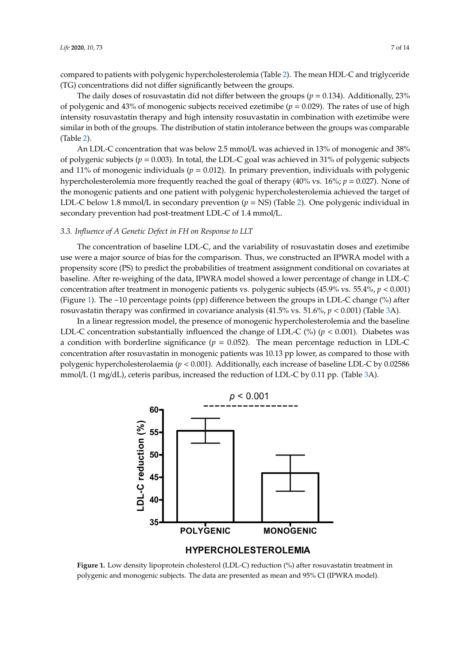compared to patients with polygenic hypercholesterolemia (Table [2\)](#page-5-0). The mean HDL-C and triglyceride (TG) concentrations did not differ significantly between the groups.

The daily doses of rosuvastatin did not differ between the groups (*p* = 0.134). Additionally, 23% of polygenic and 43% of monogenic subjects received ezetimibe ( $p = 0.029$ ). The rates of use of high intensity rosuvastatin therapy and high intensity rosuvastatin in combination with ezetimibe were similar in both of the groups. The distribution of statin intolerance between the groups was comparable (Table [2\)](#page-5-0).

An LDL-C concentration that was below 2.5 mmol/L was achieved in 13% of monogenic and 38% of polygenic subjects (*p* = 0.003). In total, the LDL-C goal was achieved in 31% of polygenic subjects and 11% of monogenic individuals ( $p = 0.012$ ). In primary prevention, individuals with polygenic hypercholesterolemia more frequently reached the goal of therapy  $(40\% \text{ vs. } 16\%; p = 0.027)$ . None of the monogenic patients and one patient with polygenic hypercholesterolemia achieved the target of LDL-C below 1.8 mmol/L in secondary prevention (*p* = NS) (Table [2\)](#page-5-0). One polygenic individual in secondary prevention had post-treatment LDL-C of 1.4 mmol/L.

## *3.3. Influence of A Genetic Defect in FH on Response to LLT*

The concentration of baseline LDL-C, and the variability of rosuvastatin doses and ezetimibe use were a major source of bias for the comparison. Thus, we constructed an IPWRA model with a propensity score (PS) to predict the probabilities of treatment assignment conditional on covariates at baseline. After re-weighing of the data, IPWRA model showed a lower percentage of change in LDL-C concentration after treatment in monogenic patients vs. polygenic subjects (45.9% vs. 55.4%,  $p < 0.001$ ) (Figure [1\)](#page-6-0). The ~10 percentage points (pp) difference between the groups in LDL-C change (%) after rosuvastatin therapy was confirmed in covariance analysis (41.5% vs. 51.6%,  $p < 0.001$ ) (Table [3A](#page-7-0)).

<span id="page-6-0"></span>In a linear regression model, the presence of monogenic hypercholesterolemia and the baseline LDL-C concentration substantially influenced the change of LDL-C (%) ( $p < 0.001$ ). Diabetes was a condition with borderline significance  $(p = 0.052)$ . The mean percentage reduction in LDL-C concentration after rosuvastatin in monogenic patients was 10.13 pp lower, as compared to those with polygenic hypercholesterolaemia ( $p < 0.001$ ). Additionally, each increase of baseline LDL-C by  $0.02586$ mmol/L (1 mg/dL), ceteris paribus, increased the reduction of LDL-C by 0.11 pp. (Table [3A](#page-7-0)).



### **HYPERCHOLESTEROLEMIA**

polygenic and monogenic subjects. The data are presented as mean and 95% CI (IPWRA model). Figure 1. Low density lipoprotein cholesterol (LDL-C) reduction (%) after rosuvastatin treatment in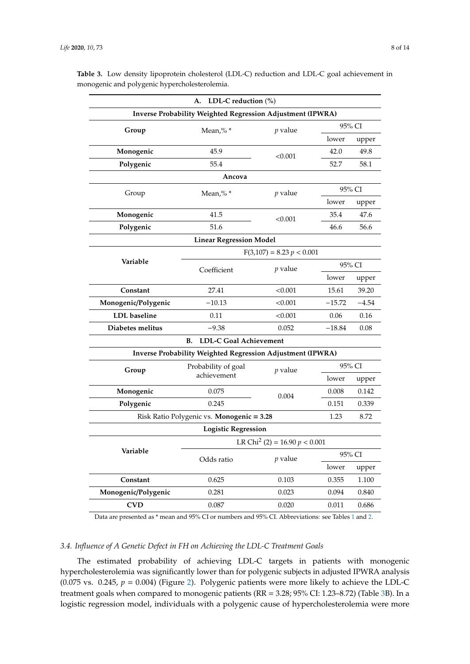|                     | LDL-C reduction $(\%)$<br>А.                               |                             |          |         |  |
|---------------------|------------------------------------------------------------|-----------------------------|----------|---------|--|
|                     | Inverse Probability Weighted Regression Adjustment (IPWRA) |                             |          |         |  |
| Group               | Mean,% $*$                                                 | <i>p</i> value              |          | 95% CI  |  |
|                     |                                                            |                             | lower    | upper   |  |
| Monogenic           | 45.9                                                       | < 0.001                     | 42.0     | 49.8    |  |
| Polygenic           | 55.4                                                       |                             | 52.7     | 58.1    |  |
|                     | Ancova                                                     |                             |          |         |  |
| Group               | Mean,% $*$                                                 | <i>p</i> value              | 95% CI   |         |  |
|                     |                                                            |                             | lower    | upper   |  |
| Monogenic           | 41.5                                                       | < 0.001                     | 35.4     | 47.6    |  |
| Polygenic           | 51.6                                                       |                             | 46.6     | 56.6    |  |
|                     | <b>Linear Regression Model</b>                             |                             |          |         |  |
|                     |                                                            | $F(3,107) = 8.23 p < 0.001$ |          |         |  |
| Variable            | Coefficient                                                | <i>p</i> value              | 95% CI   |         |  |
|                     |                                                            |                             | lower    | upper   |  |
| Constant            | 27.41                                                      | < 0.001                     | 15.61    | 39.20   |  |
| Monogenic/Polygenic | $-10.13$                                                   | < 0.001                     | $-15.72$ | $-4.54$ |  |
| <b>LDL</b> baseline | 0.11                                                       | < 0.001                     | 0.06     | 0.16    |  |
| Diabetes melitus    | $-9.38$                                                    | 0.052                       | $-18.84$ | 0.08    |  |
|                     | <b>LDL-C Goal Achievement</b><br><b>B.</b>                 |                             |          |         |  |
|                     | Inverse Probability Weighted Regression Adjustment (IPWRA) |                             |          |         |  |
| Group               | Probability of goal<br>achievement                         | <i>p</i> value              | 95% CI   |         |  |
|                     |                                                            |                             | lower    | upper   |  |
| Monogenic           | 0.075                                                      | 0.004                       | 0.008    | 0.142   |  |
| Polygenic           | 0.245                                                      |                             | 0.151    | 0.339   |  |
|                     | Risk Ratio Polygenic vs. Monogenic = 3.28                  |                             | 1.23     | 8.72    |  |
|                     | <b>Logistic Regression</b>                                 |                             |          |         |  |
| Variable            | LR Chi <sup>2</sup> (2) = 16.90 $p < 0.001$                |                             |          |         |  |
|                     | Odds ratio                                                 | <i>p</i> value              |          | 95% CI  |  |
|                     |                                                            |                             | lower    | upper   |  |
| Constant            | 0.625                                                      | 0.103                       | 0.355    | 1.100   |  |
| Monogenic/Polygenic | 0.281                                                      | 0.023                       | 0.094    | 0.840   |  |
| CVD                 | 0.087                                                      | 0.020                       | 0.011    | 0.686   |  |

<span id="page-7-0"></span>**Table 3.** Low density lipoprotein cholesterol (LDL-C) reduction and LDL-C goal achievement in monogenic and polygenic hypercholesterolemia.

Data are presented as \* mean and 95% CI or numbers and 95% CI. Abbreviations: see Tables [1](#page-4-0) and [2.](#page-5-0)

### *3.4. Influence of A Genetic Defect in FH on Achieving the LDL-C Treatment Goals*

The estimated probability of achieving LDL-C targets in patients with monogenic hypercholesterolemia was significantly lower than for polygenic subjects in adjusted IPWRA analysis (0.075 vs. 0.245,  $p = 0.004$ ) (Figure [2\)](#page-8-0). Polygenic patients were more likely to achieve the LDL-C treatment goals when compared to monogenic patients (RR = 3.28; 95% CI: 1.23–8.72) (Table [3B](#page-7-0)). In a logistic regression model, individuals with a polygenic cause of hypercholesterolemia were more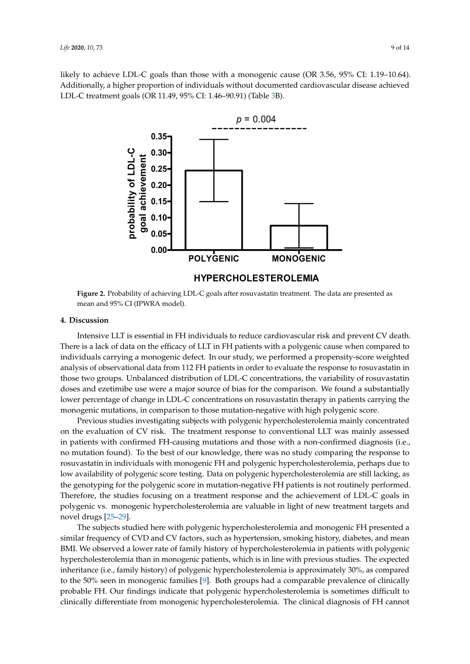<span id="page-8-0"></span>likely to achieve LDL-C goals than those with a monogenic cause (OR 3.56, 95% CI: 1.19–10.64). Additionally, a higher proportion of individuals without documented cardiovascular disease achieved<br>LDL G treatment and tOP 11.40, 05%, GL 1.46, 00.01) (Table 3B). LDL-C treatment goals (OR 11.49, 95% CI: 1.46–90.91) (Table [3B](#page-7-0)).  $\mathbf{b}$  between the groups in LD-C change ( $\mathbf{b}$  after rosuvastatin therapy was confirmed in confirmed in covariance  $\mathbf{b}$  and  $\mathbf{b}$  and  $\mathbf{b}$  and  $\mathbf{b}$  and  $\mathbf{b}$  and  $\mathbf{b}$  and  $\mathbf{b}$  and  $\mathbf{b}$ 



**Figure 2.** Probability of achieving LDL-C goals after rosuvastatin treatment. The data are presented as mean and 95% CI (IPWRA model).

#### **Figure 1. <b>Figure 1. Figure 1. Figure 1. Figure 1. Figure 1. Figure 1. Figure 1. Figure 1. Figure 1. Figure 1. Figure 1. Figure 1. Figure 1. Figure 1. Figure 1. Figure 1. Figure 1. Figure 4. Discussion**

7 There is a lack of data on the efficacy of LLT in FH patients with a polygenic cause when compared to Intensive LLT is essential in FH individuals to reduce cardiovascular risk and prevent CV death. individuals carrying a monogenic defect. In our study, we performed a propensity-score weighted analysis of observational data from 112 FH patients in order to evaluate the response to rosuvastatin in those two groups. Unbalanced distribution of LDL-C concentrations, the variability of rosuvastatin doses and ezetimibe use were a major source of bias for the comparison. We found a substantially lower percentage of change in LDL-C concentrations on rosuvastatin therapy in patients carrying the monogenic mutations, in comparison to those mutation-negative with high polygenic score.

Previous studies investigating subjects with polygenic hypercholesterolemia mainly concentrated on the evaluation of CV risk. The treatment response to conventional LLT was mainly assessed in patients with confirmed FH-causing mutations and those with a non-confirmed diagnosis (i.e., no mutation found). To the best of our knowledge, there was no study comparing the response to rosuvastatin in individuals with monogenic FH and polygenic hypercholesterolemia, perhaps due to low availability of polygenic score testing. Data on polygenic hypercholesterolemia are still lacking, as the genotyping for the polygenic score in mutation-negative FH patients is not routinely performed. Therefore, the studies focusing on a treatment response and the achievement of LDL-C goals in polygenic vs. monogenic hypercholesterolemia are valuable in light of new treatment targets and novel drugs [\[25](#page-12-8)[–29\]](#page-12-9).

The subjects studied here with polygenic hypercholesterolemia and monogenic FH presented a similar frequency of CVD and CV factors, such as hypertension, smoking history, diabetes, and mean BMI. We observed a lower rate of family history of hypercholesterolemia in patients with polygenic hypercholesterolemia than in monogenic patients, which is in line with previous studies. The expected inheritance (i.e., family history) of polygenic hypercholesterolemia is approximately 30%, as compared to the 50% seen in monogenic families [\[9\]](#page-11-7). Both groups had a comparable prevalence of clinically probable FH. Our findings indicate that polygenic hypercholesterolemia is sometimes difficult to clinically differentiate from monogenic hypercholesterolemia. The clinical diagnosis of FH cannot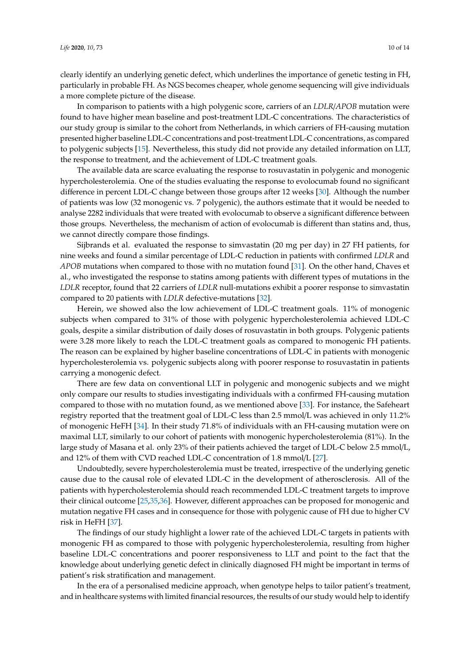clearly identify an underlying genetic defect, which underlines the importance of genetic testing in FH, particularly in probable FH. As NGS becomes cheaper, whole genome sequencing will give individuals a more complete picture of the disease.

In comparison to patients with a high polygenic score, carriers of an *LDLR*/*APOB* mutation were found to have higher mean baseline and post-treatment LDL-C concentrations. The characteristics of our study group is similar to the cohort from Netherlands, in which carriers of FH-causing mutation presented higher baseline LDL-C concentrations and post-treatment LDL-C concentrations, as compared to polygenic subjects [\[15\]](#page-11-11). Nevertheless, this study did not provide any detailed information on LLT, the response to treatment, and the achievement of LDL-C treatment goals.

The available data are scarce evaluating the response to rosuvastatin in polygenic and monogenic hypercholesterolemia. One of the studies evaluating the response to evolocumab found no significant difference in percent LDL-C change between those groups after 12 weeks [\[30\]](#page-12-10). Although the number of patients was low (32 monogenic vs. 7 polygenic), the authors estimate that it would be needed to analyse 2282 individuals that were treated with evolocumab to observe a significant difference between those groups. Nevertheless, the mechanism of action of evolocumab is different than statins and, thus, we cannot directly compare those findings.

Sijbrands et al. evaluated the response to simvastatin (20 mg per day) in 27 FH patients, for nine weeks and found a similar percentage of LDL-C reduction in patients with confirmed *LDLR* and *APOB* mutations when compared to those with no mutation found [\[31\]](#page-12-11). On the other hand, Chaves et al., who investigated the response to statins among patients with different types of mutations in the *LDLR* receptor, found that 22 carriers of *LDLR* null-mutations exhibit a poorer response to simvastatin compared to 20 patients with *LDLR* defective-mutations [\[32\]](#page-12-12).

Herein, we showed also the low achievement of LDL-C treatment goals. 11% of monogenic subjects when compared to 31% of those with polygenic hypercholesterolemia achieved LDL-C goals, despite a similar distribution of daily doses of rosuvastatin in both groups. Polygenic patients were 3.28 more likely to reach the LDL-C treatment goals as compared to monogenic FH patients. The reason can be explained by higher baseline concentrations of LDL-C in patients with monogenic hypercholesterolemia vs. polygenic subjects along with poorer response to rosuvastatin in patients carrying a monogenic defect.

There are few data on conventional LLT in polygenic and monogenic subjects and we might only compare our results to studies investigating individuals with a confirmed FH-causing mutation compared to those with no mutation found, as we mentioned above [\[33\]](#page-12-13). For instance, the Safeheart registry reported that the treatment goal of LDL-C less than 2.5 mmol/L was achieved in only 11.2% of monogenic HeFH [\[34\]](#page-13-0). In their study 71.8% of individuals with an FH-causing mutation were on maximal LLT, similarly to our cohort of patients with monogenic hypercholesterolemia (81%). In the large study of Masana et al. only 23% of their patients achieved the target of LDL-C below 2.5 mmol/L, and 12% of them with CVD reached LDL-C concentration of 1.8 mmol/L [\[27\]](#page-12-14).

Undoubtedly, severe hypercholesterolemia must be treated, irrespective of the underlying genetic cause due to the causal role of elevated LDL-C in the development of atherosclerosis. All of the patients with hypercholesterolemia should reach recommended LDL-C treatment targets to improve their clinical outcome [\[25,](#page-12-8)[35,](#page-13-1)[36\]](#page-13-2). However, different approaches can be proposed for monogenic and mutation negative FH cases and in consequence for those with polygenic cause of FH due to higher CV risk in HeFH [\[37\]](#page-13-3).

The findings of our study highlight a lower rate of the achieved LDL-C targets in patients with monogenic FH as compared to those with polygenic hypercholesterolemia, resulting from higher baseline LDL-C concentrations and poorer responsiveness to LLT and point to the fact that the knowledge about underlying genetic defect in clinically diagnosed FH might be important in terms of patient's risk stratification and management.

In the era of a personalised medicine approach, when genotype helps to tailor patient's treatment, and in healthcare systems with limited financial resources, the results of our study would help to identify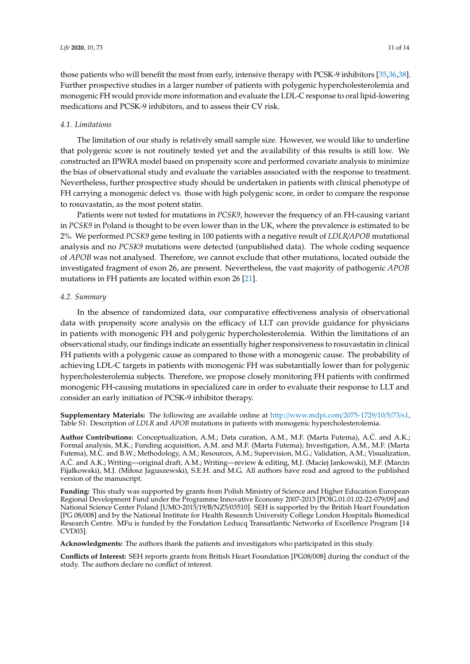those patients who will benefit the most from early, intensive therapy with PCSK-9 inhibitors [\[35](#page-13-1)[,36](#page-13-2)[,38\]](#page-13-4). Further prospective studies in a larger number of patients with polygenic hypercholesterolemia and monogenic FH would provide more information and evaluate the LDL-C response to oral lipid-lowering medications and PCSK-9 inhibitors, and to assess their CV risk.

#### *4.1. Limitations*

The limitation of our study is relatively small sample size. However, we would like to underline that polygenic score is not routinely tested yet and the availability of this results is still low. We constructed an IPWRA model based on propensity score and performed covariate analysis to minimize the bias of observational study and evaluate the variables associated with the response to treatment. Nevertheless, further prospective study should be undertaken in patients with clinical phenotype of FH carrying a monogenic defect vs. those with high polygenic score, in order to compare the response to rosuvastatin, as the most potent statin.

Patients were not tested for mutations in *PCSK9*, however the frequency of an FH-causing variant in *PCSK9* in Poland is thought to be even lower than in the UK, where the prevalence is estimated to be 2%. We performed *PCSK9* gene testing in 100 patients with a negative result of *LDLR*/*APOB* mutational analysis and no *PCSK9* mutations were detected (unpublished data). The whole coding sequence of *APOB* was not analysed. Therefore, we cannot exclude that other mutations, located outside the investigated fragment of exon 26, are present. Nevertheless, the vast majority of pathogenic *APOB* mutations in FH patients are located within exon 26 [\[21\]](#page-12-4).

#### *4.2. Summary*

In the absence of randomized data, our comparative effectiveness analysis of observational data with propensity score analysis on the efficacy of LLT can provide guidance for physicians in patients with monogenic FH and polygenic hypercholesterolemia. Within the limitations of an observational study, our findings indicate an essentially higher responsiveness to rosuvastatin in clinical FH patients with a polygenic cause as compared to those with a monogenic cause. The probability of achieving LDL-C targets in patients with monogenic FH was substantially lower than for polygenic hypercholesterolemia subjects. Therefore, we propose closely monitoring FH patients with confirmed monogenic FH-causing mutations in specialized care in order to evaluate their response to LLT and consider an early initiation of PCSK-9 inhibitor therapy.

**Supplementary Materials:** The following are available online at http://[www.mdpi.com](http://www.mdpi.com/2075-1729/10/5/73/s1)/2075-1729/10/5/73/s1, Table S1: Description of *LDLR* and *APOB* mutations in patients with monogenic hypercholesterolemia.

**Author Contributions:** Conceptualization, A.M.; Data curation, A.M., M.F. (Marta Futema), A.C. and A.K.; ´ Formal analysis, M.K.; Funding acquisition, A.M. and M.F. (Marta Futema); Investigation, A.M., M.F. (Marta Futema), M.C. and B.W.; Methodology, A.M.; Resources, A.M.; Supervision, M.G.; Validation, A.M.; Visualization, A.C. and A.K.; Writing—original draft, A.M.; Writing—review & editing, M.J. (Maciej Jankowski), M.F. (Marcin ´ Fijałkowski), M.J. (Miłosz Jaguszewski), S.E.H. and M.G. All authors have read and agreed to the published version of the manuscript.

**Funding:** This study was supported by grants from Polish Ministry of Science and Higher Education European Regional Development Fund under the Programme Innovative Economy 2007-2013 [POIG.01.01.02-22-079/09] and National Science Center Poland [UMO-2015/19/B/NZ5/03510]. SEH is supported by the British Heart Foundation [PG 08/008] and by the National Institute for Health Research University College London Hospitals Biomedical Research Centre. MFu is funded by the Fondation Leducq Transatlantic Networks of Excellence Program [14 CVD03].

**Acknowledgments:** The authors thank the patients and investigators who participated in this study.

**Conflicts of Interest:** SEH reports grants from British Heart Foundation [PG08/008] during the conduct of the study. The authors declare no conflict of interest.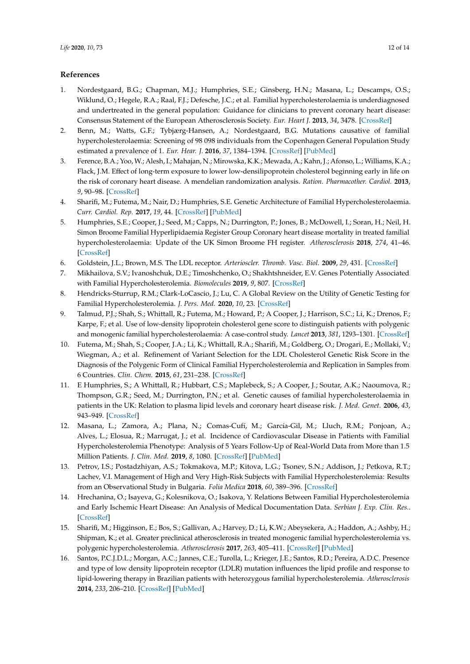#### **References**

- <span id="page-11-0"></span>1. Nordestgaard, B.G.; Chapman, M.J.; Humphries, S.E.; Ginsberg, H.N.; Masana, L.; Descamps, O.S.; Wiklund, O.; Hegele, R.A.; Raal, F.J.; Defesche, J.C.; et al. Familial hypercholesterolaemia is underdiagnosed and undertreated in the general population: Guidance for clinicians to prevent coronary heart disease: Consensus Statement of the European Atherosclerosis Society. *Eur. Heart J.* **2013**, *34*, 3478. [\[CrossRef\]](http://dx.doi.org/10.1093/eurheartj/eht273)
- <span id="page-11-1"></span>2. Benn, M.; Watts, G.F.; Tybjærg-Hansen, A.; Nordestgaard, B.G. Mutations causative of familial hypercholesterolaemia: Screening of 98 098 individuals from the Copenhagen General Population Study estimated a prevalence of 1. *Eur. Hear. J.* **2016**, *37*, 1384–1394. [\[CrossRef\]](http://dx.doi.org/10.1093/eurheartj/ehw028) [\[PubMed\]](http://www.ncbi.nlm.nih.gov/pubmed/26908947)
- <span id="page-11-2"></span>3. Ference, B.A.; Yoo,W.; Alesh, I.; Mahajan, N.; Mirowska, K.K.; Mewada, A.; Kahn, J.; Afonso, L.; Williams, K.A.; Flack, J.M. Effect of long-term exposure to lower low-densilipoprotein cholesterol beginning early in life on the risk of coronary heart disease. A mendelian randomization analysis. *Ration. Pharmacother. Cardiol.* **2013**, *9*, 90–98. [\[CrossRef\]](http://dx.doi.org/10.20996/1819-6446-2013-9-1-90-98)
- <span id="page-11-6"></span>4. Sharifi, M.; Futema, M.; Nair, D.; Humphries, S.E. Genetic Architecture of Familial Hypercholesterolaemia. *Curr. Cardiol. Rep.* **2017**, *19*, 44. [\[CrossRef\]](http://dx.doi.org/10.1007/s11886-017-0848-8) [\[PubMed\]](http://www.ncbi.nlm.nih.gov/pubmed/28405938)
- <span id="page-11-3"></span>5. Humphries, S.E.; Cooper, J.; Seed, M.; Capps, N.; Durrington, P.; Jones, B.; McDowell, I.; Soran, H.; Neil, H. Simon Broome Familial Hyperlipidaemia Register Group Coronary heart disease mortality in treated familial hypercholesterolaemia: Update of the UK Simon Broome FH register. *Atherosclerosis* **2018**, *274*, 41–46. [\[CrossRef\]](http://dx.doi.org/10.1016/j.atherosclerosis.2018.04.040)
- <span id="page-11-4"></span>6. Goldstein, J.L.; Brown, M.S. The LDL receptor. *Arterioscler. Thromb. Vasc. Biol.* **2009**, *29*, 431. [\[CrossRef\]](http://dx.doi.org/10.1161/ATVBAHA.108.179564)
- 7. Mikhailova, S.V.; Ivanoshchuk, D.E.; Timoshchenko, O.; Shakhtshneider, E.V. Genes Potentially Associated with Familial Hypercholesterolemia. *Biomolecules* **2019**, *9*, 807. [\[CrossRef\]](http://dx.doi.org/10.3390/biom9120807)
- <span id="page-11-5"></span>8. Hendricks-Sturrup, R.M.; Clark-LoCascio, J.; Lu, C. A Global Review on the Utility of Genetic Testing for Familial Hypercholesterolemia. *J. Pers. Med.* **2020**, *10*, 23. [\[CrossRef\]](http://dx.doi.org/10.3390/jpm10020023)
- <span id="page-11-7"></span>9. Talmud, P.J.; Shah, S.; Whittall, R.; Futema, M.; Howard, P.; A Cooper, J.; Harrison, S.C.; Li, K.; Drenos, F.; Karpe, F.; et al. Use of low-density lipoprotein cholesterol gene score to distinguish patients with polygenic and monogenic familial hypercholesterolaemia: A case-control study. *Lancet* **2013**, *381*, 1293–1301. [\[CrossRef\]](http://dx.doi.org/10.1016/S0140-6736(12)62127-8)
- <span id="page-11-8"></span>10. Futema, M.; Shah, S.; Cooper, J.A.; Li, K.; Whittall, R.A.; Sharifi, M.; Goldberg, O.; Drogari, E.; Mollaki, V.; Wiegman, A.; et al. Refinement of Variant Selection for the LDL Cholesterol Genetic Risk Score in the Diagnosis of the Polygenic Form of Clinical Familial Hypercholesterolemia and Replication in Samples from 6 Countries. *Clin. Chem.* **2015**, *61*, 231–238. [\[CrossRef\]](http://dx.doi.org/10.1373/clinchem.2014.231365)
- <span id="page-11-9"></span>11. E Humphries, S.; A Whittall, R.; Hubbart, C.S.; Maplebeck, S.; A Cooper, J.; Soutar, A.K.; Naoumova, R.; Thompson, G.R.; Seed, M.; Durrington, P.N.; et al. Genetic causes of familial hypercholesterolaemia in patients in the UK: Relation to plasma lipid levels and coronary heart disease risk. *J. Med. Genet.* **2006**, *43*, 943–949. [\[CrossRef\]](http://dx.doi.org/10.1136/jmg.2006.038356)
- 12. Masana, L.; Zamora, A.; Plana, N.; Comas-Cufí, M.; García-Gil, M.; Lluch, R.M.; Ponjoan, A.; Alves, L.; Elosua, R.; Marrugat, J.; et al. Incidence of Cardiovascular Disease in Patients with Familial Hypercholesterolemia Phenotype: Analysis of 5 Years Follow-Up of Real-World Data from More than 1.5 Million Patients. *J. Clin. Med.* **2019**, *8*, 1080. [\[CrossRef\]](http://dx.doi.org/10.3390/jcm8071080) [\[PubMed\]](http://www.ncbi.nlm.nih.gov/pubmed/31340450)
- 13. Petrov, I.S.; Postadzhiyan, A.S.; Tokmakova, M.P.; Kitova, L.G.; Tsonev, S.N.; Addison, J.; Petkova, R.T.; Lachev, V.I. Management of High and Very High-Risk Subjects with Familial Hypercholesterolemia: Results from an Observational Study in Bulgaria. *Folia Medica* **2018**, *60*, 389–396. [\[CrossRef\]](http://dx.doi.org/10.2478/folmed-2018-0020)
- <span id="page-11-10"></span>14. Hrechanina, O.; Isayeva, G.; Kolesnikova, O.; Isakova, Y. Relations Between Familial Hypercholesterolemia and Early Ischemic Heart Disease: An Analysis of Medical Documentation Data. *Serbian J. Exp. Clin. Res.*. [\[CrossRef\]](http://dx.doi.org/10.2478/sjecr-2019-0056)
- <span id="page-11-11"></span>15. Sharifi, M.; Higginson, E.; Bos, S.; Gallivan, A.; Harvey, D.; Li, K.W.; Abeysekera, A.; Haddon, A.; Ashby, H.; Shipman, K.; et al. Greater preclinical atherosclerosis in treated monogenic familial hypercholesterolemia vs. polygenic hypercholesterolemia. *Atherosclerosis* **2017**, *263*, 405–411. [\[CrossRef\]](http://dx.doi.org/10.1016/j.atherosclerosis.2017.05.015) [\[PubMed\]](http://www.ncbi.nlm.nih.gov/pubmed/28549500)
- <span id="page-11-12"></span>16. Santos, P.C.J.D.L.; Morgan, A.C.; Jannes, C.E.; Turolla, L.; Krieger, J.E.; Santos, R.D.; Pereira, A.D.C. Presence and type of low density lipoprotein receptor (LDLR) mutation influences the lipid profile and response to lipid-lowering therapy in Brazilian patients with heterozygous familial hypercholesterolemia. *Atherosclerosis* **2014**, *233*, 206–210. [\[CrossRef\]](http://dx.doi.org/10.1016/j.atherosclerosis.2013.12.028) [\[PubMed\]](http://www.ncbi.nlm.nih.gov/pubmed/24529145)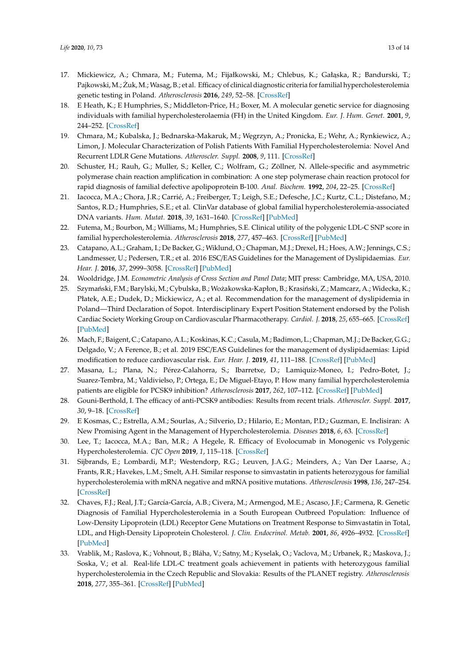- <span id="page-12-0"></span>17. Mickiewicz, A.; Chmara, M.; Futema, M.; Fijałkowski, M.; Chlebus, K.; Gałąska, R.; Bandurski, T.; Pajkowski, M.; Żuk, M.; Wasag, B.; et al. Efficacy of clinical diagnostic criteria for familial hypercholesterolemia genetic testing in Poland. *Atherosclerosis* **2016**, *249*, 52–58. [\[CrossRef\]](http://dx.doi.org/10.1016/j.atherosclerosis.2016.03.025)
- <span id="page-12-1"></span>18. E Heath, K.; E Humphries, S.; Middleton-Price, H.; Boxer, M. A molecular genetic service for diagnosing individuals with familial hypercholesterolaemia (FH) in the United Kingdom. *Eur. J. Hum. Genet.* **2001**, *9*, 244–252. [\[CrossRef\]](http://dx.doi.org/10.1038/sj.ejhg.5200633)
- <span id="page-12-2"></span>19. Chmara, M.; Kubalska, J.; Bednarska-Makaruk, M.; W˛egrzyn, A.; Pronicka, E.; Wehr, A.; Rynkiewicz, A.; Limon, J. Molecular Characterization of Polish Patients With Familial Hypercholesterolemia: Novel And Recurrent LDLR Gene Mutations. *Atheroscler. Suppl.* **2008**, *9*, 111. [\[CrossRef\]](http://dx.doi.org/10.1016/S1567-5688(08)70445-8)
- <span id="page-12-3"></span>20. Schuster, H.; Rauh, G.; Muller, S.; Keller, C.; Wolfram, G.; Zöllner, N. Allele-specific and asymmetric polymerase chain reaction amplification in combination: A one step polymerase chain reaction protocol for rapid diagnosis of familial defective apolipoprotein B-100. *Anal. Biochem.* **1992**, *204*, 22–25. [\[CrossRef\]](http://dx.doi.org/10.1016/0003-2697(92)90133-R)
- <span id="page-12-4"></span>21. Iacocca, M.A.; Chora, J.R.; Carrié, A.; Freiberger, T.; Leigh, S.E.; Defesche, J.C.; Kurtz, C.L.; Distefano, M.; Santos, R.D.; Humphries, S.E.; et al. ClinVar database of global familial hypercholesterolemia-associated DNA variants. *Hum. Mutat.* **2018**, *39*, 1631–1640. [\[CrossRef\]](http://dx.doi.org/10.1002/humu.23634) [\[PubMed\]](http://www.ncbi.nlm.nih.gov/pubmed/30311388)
- <span id="page-12-5"></span>22. Futema, M.; Bourbon, M.; Williams, M.; Humphries, S.E. Clinical utility of the polygenic LDL-C SNP score in familial hypercholesterolemia. *Atherosclerosis* **2018**, *277*, 457–463. [\[CrossRef\]](http://dx.doi.org/10.1016/j.atherosclerosis.2018.06.006) [\[PubMed\]](http://www.ncbi.nlm.nih.gov/pubmed/30270085)
- <span id="page-12-6"></span>23. Catapano, A.L.; Graham, I.; De Backer, G.; Wiklund, O.; Chapman, M.J.; Drexel, H.; Hoes, A.W.; Jennings, C.S.; Landmesser, U.; Pedersen, T.R.; et al. 2016 ESC/EAS Guidelines for the Management of Dyslipidaemias. *Eur. Hear. J.* **2016**, *37*, 2999–3058. [\[CrossRef\]](http://dx.doi.org/10.1093/eurheartj/ehw272) [\[PubMed\]](http://www.ncbi.nlm.nih.gov/pubmed/27567407)
- <span id="page-12-7"></span>24. Wooldridge, J.M. *Econometric Analysis of Cross Section and Panel Data*; MIT press: Cambridge, MA, USA, 2010.
- <span id="page-12-8"></span>25. Szymański, F.M.; Barylski, M.; Cybulska, B.; Wożakowska-Kapłon, B.; Krasiński, Z.; Mamcarz, A.; Widecka, K.; Płatek, A.E.; Dudek, D.; Mickiewicz, A.; et al. Recommendation for the management of dyslipidemia in Poland—Third Declaration of Sopot. Interdisciplinary Expert Position Statement endorsed by the Polish Cardiac Society Working Group on Cardiovascular Pharmacotherapy. *Cardiol. J.* **2018**, *25*, 655–665. [\[CrossRef\]](http://dx.doi.org/10.5603/CJ.2018.0141) [\[PubMed\]](http://www.ncbi.nlm.nih.gov/pubmed/30600830)
- 26. Mach, F.; Baigent, C.; Catapano, A.L.; Koskinas, K.C.; Casula, M.; Badimon, L.; Chapman, M.J.; De Backer, G.G.; Delgado, V.; A Ference, B.; et al. 2019 ESC/EAS Guidelines for the management of dyslipidaemias: Lipid modification to reduce cardiovascular risk. *Eur. Hear. J.* **2019**, *41*, 111–188. [\[CrossRef\]](http://dx.doi.org/10.1093/eurheartj/ehz455) [\[PubMed\]](http://www.ncbi.nlm.nih.gov/pubmed/31504418)
- <span id="page-12-14"></span>27. Masana, L.; Plana, N.; Pérez-Calahorra, S.; Ibarretxe, D.; Lamiquiz-Moneo, I.; Pedro-Botet, J.; Suarez-Tembra, M.; Valdivielso, P.; Ortega, E.; De Miguel-Etayo, P. How many familial hypercholesterolemia patients are eligible for PCSK9 inhibition? *Atherosclerosis* **2017**, *262*, 107–112. [\[CrossRef\]](http://dx.doi.org/10.1016/j.atherosclerosis.2017.05.013) [\[PubMed\]](http://www.ncbi.nlm.nih.gov/pubmed/28531826)
- 28. Gouni-Berthold, I. The efficacy of anti-PCSK9 antibodies: Results from recent trials. *Atheroscler. Suppl.* **2017**, *30*, 9–18. [\[CrossRef\]](http://dx.doi.org/10.1016/j.atherosclerosissup.2017.05.030)
- <span id="page-12-9"></span>29. E Kosmas, C.; Estrella, A.M.; Sourlas, A.; Silverio, D.; Hilario, E.; Montan, P.D.; Guzman, E. Inclisiran: A New Promising Agent in the Management of Hypercholesterolemia. *Diseases* **2018**, *6*, 63. [\[CrossRef\]](http://dx.doi.org/10.3390/diseases6030063)
- <span id="page-12-10"></span>30. Lee, T.; Iacocca, M.A.; Ban, M.R.; A Hegele, R. Efficacy of Evolocumab in Monogenic vs Polygenic Hypercholesterolemia. *CJC Open* **2019**, *1*, 115–118. [\[CrossRef\]](http://dx.doi.org/10.1016/j.cjco.2019.02.005)
- <span id="page-12-11"></span>31. Sijbrands, E.; Lombardi, M.P.; Westendorp, R.G.; Leuven, J.A.G.; Meinders, A.; Van Der Laarse, A.; Frants, R.R.; Havekes, L.M.; Smelt, A.H. Similar response to simvastatin in patients heterozygous for familial hypercholesterolemia with mRNA negative and mRNA positive mutations. *Atherosclerosis* **1998**, *136*, 247–254. [\[CrossRef\]](http://dx.doi.org/10.1016/S0021-9150(97)00216-5)
- <span id="page-12-12"></span>32. Chaves, F.J.; Real, J.T.; García-García, A.B.; Civera, M.; Armengod, M.E.; Ascaso, J.F.; Carmena, R. Genetic Diagnosis of Familial Hypercholesterolemia in a South European Outbreed Population: Influence of Low-Density Lipoprotein (LDL) Receptor Gene Mutations on Treatment Response to Simvastatin in Total, LDL, and High-Density Lipoprotein Cholesterol. *J. Clin. Endocrinol. Metab.* **2001**, *86*, 4926–4932. [\[CrossRef\]](http://dx.doi.org/10.1210/jcem.86.10.7899) [\[PubMed\]](http://www.ncbi.nlm.nih.gov/pubmed/11600564)
- <span id="page-12-13"></span>33. Vrablik, M.; Raslova, K.; Vohnout, B.; Bláha, V.; Satny, M.; Kyselak, O.; Vaclova, M.; Urbanek, R.; Maskova, J.; Soska, V.; et al. Real-life LDL-C treatment goals achievement in patients with heterozygous familial hypercholesterolemia in the Czech Republic and Slovakia: Results of the PLANET registry. *Atherosclerosis* **2018**, *277*, 355–361. [\[CrossRef\]](http://dx.doi.org/10.1016/j.atherosclerosis.2018.08.008) [\[PubMed\]](http://www.ncbi.nlm.nih.gov/pubmed/30270071)